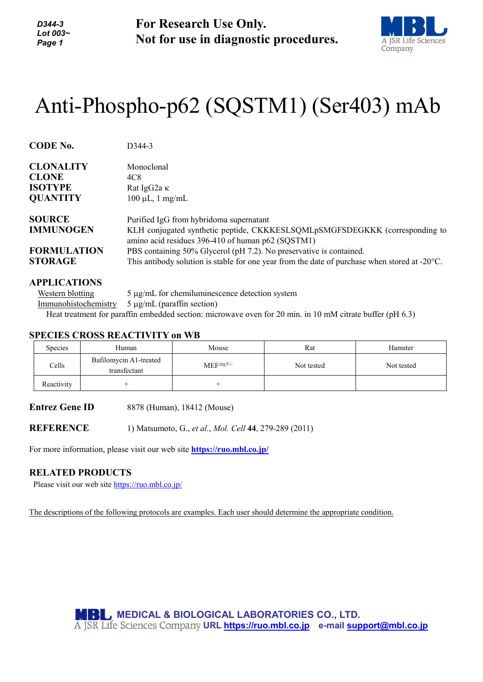*D344-3 Lot 003~ Page 1*

**For Research Use Only. Not for use in diagnostic procedures.**



# Anti-Phospho-p62 (SQSTM1) (Ser403) mAb

| <b>CODE No.</b>    | D <sub>344</sub> -3                                                                                                              |
|--------------------|----------------------------------------------------------------------------------------------------------------------------------|
| <b>CLONALITY</b>   | Monoclonal                                                                                                                       |
| <b>CLONE</b>       | 4C8                                                                                                                              |
| <b>ISOTYPE</b>     | Rat IgG2a $\kappa$                                                                                                               |
| <b>QUANTITY</b>    | $100 \mu L$ , 1 mg/mL                                                                                                            |
| <b>SOURCE</b>      | Purified IgG from hybridoma supernatant                                                                                          |
| <b>IMMUNOGEN</b>   | KLH conjugated synthetic peptide, CKKKESLSQMLpSMGFSDEGKKK (corresponding to<br>amino acid residues 396-410 of human p62 (SQSTM1) |
| <b>FORMULATION</b> | PBS containing 50% Glycerol (pH 7.2). No preservative is contained.                                                              |
| <b>STORAGE</b>     | This antibody solution is stable for one year from the date of purchase when stored at $-20^{\circ}$ C.                          |

## **APPLICATIONS**

Western blotting  $5 \mu g/mL$  for chemiluminescence detection system Immunohistochemistry 5 µg/mL (paraffin section) Heat treatment for paraffin embedded section: microwave oven for 20 min. in 10 mM citrate buffer (pH 6.3)

## **SPECIES CROSS REACTIVITY on WB**

| Species    | Human                                  | Mouse        | Rat        | Hamster    |
|------------|----------------------------------------|--------------|------------|------------|
| Cells      | Bafilomycin A1-treated<br>transfectant | $MEFAtg5-/-$ | Not tested | Not tested |
| Reactivity |                                        |              |            |            |

**Entrez Gene ID** 8878 (Human), 18412 (Mouse)

**REFERENCE** 1) Matsumoto, G., *et al.*, *Mol. Cell* **44**, 279-289 (2011)

For more information, please visit our web site **<https://ruo.mbl.co.jp/>**

#### **RELATED PRODUCTS**

Please visit our web site<https://ruo.mbl.co.jp/>

The descriptions of the following protocols are examples. Each user should determine the appropriate condition.

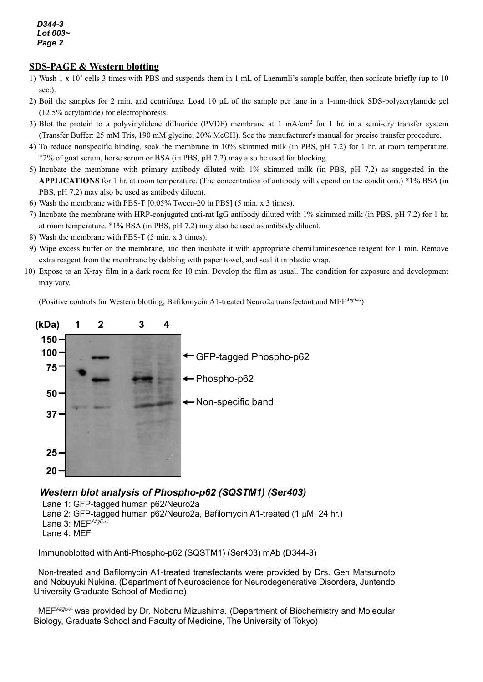#### *D344-3 Lot 003~ Page 2*

# **SDS-PAGE & Western blotting**

- 1) Wash 1 x  $10<sup>7</sup>$  cells 3 times with PBS and suspends them in 1 mL of Laemmli's sample buffer, then sonicate briefly (up to 10) sec.).
- 2) Boil the samples for 2 min. and centrifuge. Load 10 µL of the sample per lane in a 1-mm-thick SDS-polyacrylamide gel (12.5% acrylamide) for electrophoresis.
- 3) Blot the protein to a polyvinylidene difluoride (PVDF) membrane at  $1 \text{ mA/cm}^2$  for  $1 \text{ hr}$  in a semi-dry transfer system (Transfer Buffer: 25 mM Tris, 190 mM glycine, 20% MeOH). See the manufacturer's manual for precise transfer procedure.
- 4) To reduce nonspecific binding, soak the membrane in 10% skimmed milk (in PBS, pH 7.2) for 1 hr. at room temperature. \*2% of goat serum, horse serum or BSA (in PBS, pH 7.2) may also be used for blocking.
- 5) Incubate the membrane with primary antibody diluted with 1% skimmed milk (in PBS, pH 7.2) as suggested in the **APPLICATIONS** for 1 hr. at room temperature. (The concentration of antibody will depend on the conditions.) \*1% BSA (in PBS, pH 7.2) may also be used as antibody diluent.
- 6) Wash the membrane with PBS-T [0.05% Tween-20 in PBS] (5 min. x 3 times).
- 7) Incubate the membrane with HRP-conjugated anti-rat IgG antibody diluted with 1% skimmed milk (in PBS, pH 7.2) for 1 hr. at room temperature. \*1% BSA (in PBS, pH 7.2) may also be used as antibody diluent.
- 8) Wash the membrane with PBS-T (5 min. x 3 times).
- 9) Wipe excess buffer on the membrane, and then incubate it with appropriate chemiluminescence reagent for 1 min. Remove extra reagent from the membrane by dabbing with paper towel, and seal it in plastic wrap.
- 10) Expose to an X-ray film in a dark room for 10 min. Develop the film as usual. The condition for exposure and development may vary.

(Positive controls for Western blotting; Bafilomycin A1-treated Neuro2a transfectant and MEF*Atg5*-/- )



# *Western blot analysis of Phospho-p62 (SQSTM1) (Ser403)*

Lane 1: GFP-tagged human p62/Neuro2a

- Lane 2: GFP-tagged human p62/Neuro2a, Bafilomycin A1-treated (1  $\mu$ M, 24 hr.)
- Lane 3: MEF*Atg5*-/-

Lane 4: MEF

Immunoblotted with Anti-Phospho-p62 (SQSTM1) (Ser403) mAb (D344-3)

Non-treated and Bafilomycin A1-treated transfectants were provided by Drs. Gen Matsumoto and Nobuyuki Nukina. (Department of Neuroscience for Neurodegenerative Disorders, Juntendo University Graduate School of Medicine)

MEF*Atg5-/-* was provided by Dr. Noboru Mizushima*.* (Department of Biochemistry and Molecular Biology, Graduate School and Faculty of Medicine, The University of Tokyo)